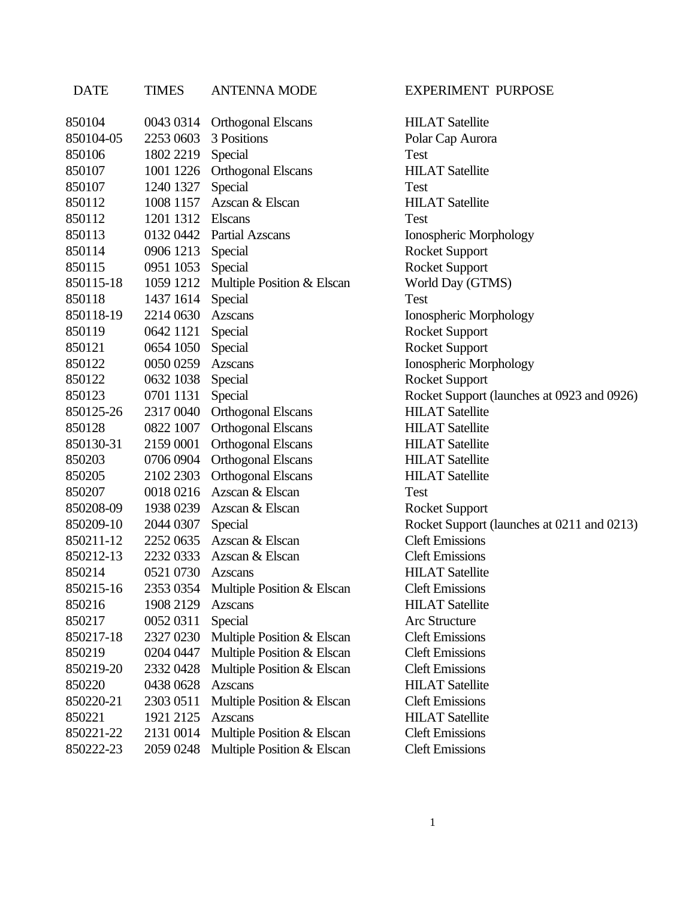| <b>DATE</b> | <b>TIMES</b> | <b>ANTENNA MODE</b>          | <b>EXPERIMENT PURPOSE</b>                  |
|-------------|--------------|------------------------------|--------------------------------------------|
| 850104      |              | 0043 0314 Orthogonal Elscans | <b>HILAT Satellite</b>                     |
| 850104-05   | 2253 0603    | 3 Positions                  | Polar Cap Aurora                           |
| 850106      | 1802 2219    | Special                      | Test                                       |
| 850107      |              | 1001 1226 Orthogonal Elscans | <b>HILAT Satellite</b>                     |
| 850107      | 1240 1327    | Special                      | <b>Test</b>                                |
| 850112      | 1008 1157    | Azscan & Elscan              | <b>HILAT</b> Satellite                     |
| 850112      | 1201 1312    | <b>Elscans</b>               | <b>Test</b>                                |
| 850113      |              | 0132 0442 Partial Azscans    | Ionospheric Morphology                     |
| 850114      | 0906 1213    | Special                      | <b>Rocket Support</b>                      |
| 850115      | 0951 1053    | Special                      | <b>Rocket Support</b>                      |
| 850115-18   | 1059 1212    | Multiple Position & Elscan   | World Day (GTMS)                           |
| 850118      | 1437 1614    | Special                      | Test                                       |
| 850118-19   | 2214 0630    | Azscans                      | Ionospheric Morphology                     |
| 850119      | 0642 1121    | Special                      | <b>Rocket Support</b>                      |
| 850121      | 0654 1050    | Special                      | <b>Rocket Support</b>                      |
| 850122      | 0050 0259    | <b>Azscans</b>               | Ionospheric Morphology                     |
| 850122      | 0632 1038    | Special                      | <b>Rocket Support</b>                      |
| 850123      | 0701 1131    | Special                      | Rocket Support (launches at 0923 and 0926) |
| 850125-26   | 2317 0040    | Orthogonal Elscans           | <b>HILAT Satellite</b>                     |
| 850128      | 0822 1007    | <b>Orthogonal Elscans</b>    | <b>HILAT Satellite</b>                     |
| 850130-31   | 2159 0001    | <b>Orthogonal Elscans</b>    | <b>HILAT Satellite</b>                     |
| 850203      | 0706 0904    | <b>Orthogonal Elscans</b>    | <b>HILAT Satellite</b>                     |
| 850205      | 2102 2303    | <b>Orthogonal Elscans</b>    | <b>HILAT Satellite</b>                     |
| 850207      |              | 0018 0216 Azscan & Elscan    | Test                                       |
| 850208-09   | 1938 0239    | Azscan & Elscan              | <b>Rocket Support</b>                      |
| 850209-10   | 2044 0307    | Special                      | Rocket Support (launches at 0211 and 0213) |
| 850211-12   |              | 2252 0635 Azscan & Elscan    | <b>Cleft Emissions</b>                     |
| 850212-13   | 2232 0333    | Azscan & Elscan              | <b>Cleft Emissions</b>                     |
| 850214      | 0521 0730    | Azscans                      | <b>HILAT Satellite</b>                     |
| 850215-16   | 2353 0354    | Multiple Position & Elscan   | <b>Cleft Emissions</b>                     |
| 850216      | 1908 2129    | <b>Azscans</b>               | <b>HILAT Satellite</b>                     |
| 850217      | 0052 0311    | Special                      | <b>Arc Structure</b>                       |
| 850217-18   | 2327 0230    | Multiple Position & Elscan   | <b>Cleft Emissions</b>                     |
| 850219      | 0204 0447    | Multiple Position & Elscan   | <b>Cleft Emissions</b>                     |
| 850219-20   | 23320428     | Multiple Position & Elscan   | <b>Cleft Emissions</b>                     |
| 850220      | 0438 0628    | <b>Azscans</b>               | <b>HILAT Satellite</b>                     |
| 850220-21   | 2303 0511    | Multiple Position & Elscan   | <b>Cleft Emissions</b>                     |
| 850221      | 1921 2125    | <b>Azscans</b>               | <b>HILAT Satellite</b>                     |
| 850221-22   | 2131 0014    | Multiple Position & Elscan   | <b>Cleft Emissions</b>                     |
| 850222-23   | 2059 0248    | Multiple Position & Elscan   | <b>Cleft Emissions</b>                     |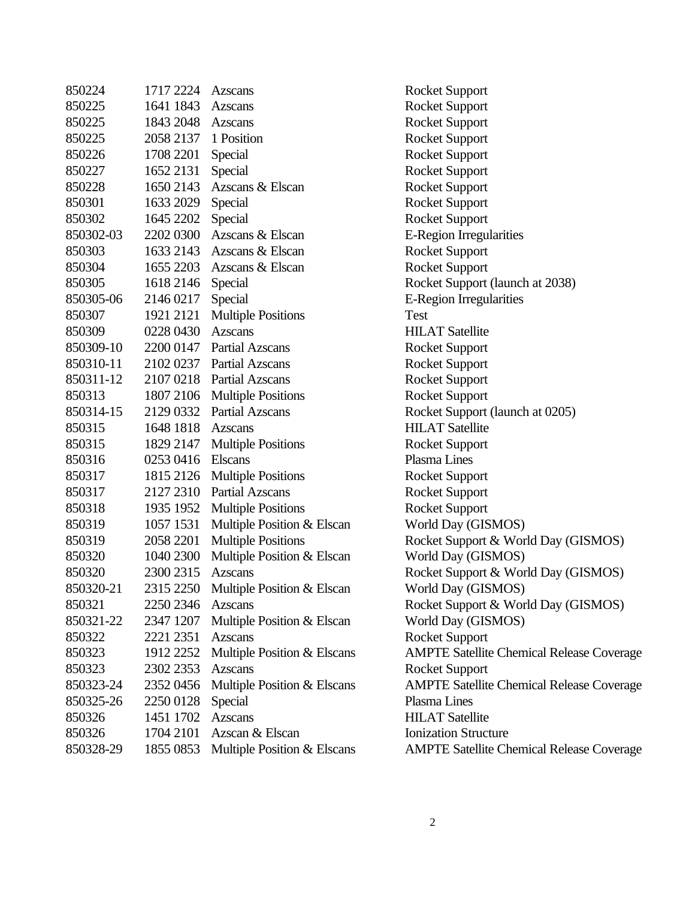| 850224    | 1717 2224 | Azscans                              | <b>Rocket Support</b>                            |
|-----------|-----------|--------------------------------------|--------------------------------------------------|
| 850225    | 1641 1843 | <b>Azscans</b>                       | <b>Rocket Support</b>                            |
| 850225    | 1843 2048 | Azscans                              | <b>Rocket Support</b>                            |
| 850225    | 2058 2137 | 1 Position                           | <b>Rocket Support</b>                            |
| 850226    | 1708 2201 | Special                              | <b>Rocket Support</b>                            |
| 850227    | 1652 2131 | Special                              | <b>Rocket Support</b>                            |
| 850228    | 1650 2143 | Azscans & Elscan                     | <b>Rocket Support</b>                            |
| 850301    | 1633 2029 | Special                              | <b>Rocket Support</b>                            |
| 850302    | 1645 2202 | Special                              | <b>Rocket Support</b>                            |
| 850302-03 | 2202 0300 | Azscans & Elscan                     | E-Region Irregularities                          |
| 850303    | 1633 2143 | Azscans & Elscan                     | <b>Rocket Support</b>                            |
| 850304    | 1655 2203 | Azscans & Elscan                     | <b>Rocket Support</b>                            |
| 850305    | 1618 2146 | Special                              | Rocket Support (launch at 2038)                  |
| 850305-06 | 2146 0217 | Special                              | E-Region Irregularities                          |
| 850307    | 1921 2121 | <b>Multiple Positions</b>            | <b>Test</b>                                      |
| 850309    | 0228 0430 | <b>Azscans</b>                       | <b>HILAT Satellite</b>                           |
| 850309-10 | 2200 0147 | <b>Partial Azscans</b>               | <b>Rocket Support</b>                            |
| 850310-11 | 2102 0237 | <b>Partial Azscans</b>               | <b>Rocket Support</b>                            |
| 850311-12 | 2107 0218 | <b>Partial Azscans</b>               | <b>Rocket Support</b>                            |
| 850313    | 1807 2106 | <b>Multiple Positions</b>            | <b>Rocket Support</b>                            |
| 850314-15 | 2129 0332 | <b>Partial Azscans</b>               | Rocket Support (launch at 0205)                  |
| 850315    | 1648 1818 | <b>Azscans</b>                       | <b>HILAT Satellite</b>                           |
| 850315    | 1829 2147 | <b>Multiple Positions</b>            | <b>Rocket Support</b>                            |
| 850316    | 0253 0416 | Elscans                              | Plasma Lines                                     |
| 850317    | 1815 2126 | <b>Multiple Positions</b>            | <b>Rocket Support</b>                            |
| 850317    | 2127 2310 | <b>Partial Azscans</b>               | <b>Rocket Support</b>                            |
| 850318    | 1935 1952 | <b>Multiple Positions</b>            | <b>Rocket Support</b>                            |
| 850319    | 1057 1531 | Multiple Position & Elscan           | World Day (GISMOS)                               |
| 850319    | 2058 2201 | <b>Multiple Positions</b>            | Rocket Support & World Day (GISMOS)              |
| 850320    | 1040 2300 | Multiple Position & Elscan           | World Day (GISMOS)                               |
| 850320    | 2300 2315 | <b>Azscans</b>                       | Rocket Support & World Day (GISMOS)              |
| 850320-21 |           | 2315 2250 Multiple Position & Elscan | World Day (GISMOS)                               |
| 850321    | 2250 2346 | Azscans                              | Rocket Support & World Day (GISMOS)              |
| 850321-22 | 2347 1207 | Multiple Position & Elscan           | World Day (GISMOS)                               |
| 850322    | 2221 2351 | Azscans                              | <b>Rocket Support</b>                            |
| 850323    | 1912 2252 | Multiple Position & Elscans          | <b>AMPTE Satellite Chemical Release Coverage</b> |
| 850323    | 2302 2353 | <b>Azscans</b>                       | <b>Rocket Support</b>                            |
| 850323-24 | 2352 0456 | Multiple Position & Elscans          | <b>AMPTE Satellite Chemical Release Coverage</b> |
| 850325-26 | 2250 0128 | Special                              | Plasma Lines                                     |
| 850326    | 1451 1702 | <b>Azscans</b>                       | <b>HILAT Satellite</b>                           |
| 850326    | 1704 2101 | Azscan & Elscan                      | <b>Ionization Structure</b>                      |
| 850328-29 | 1855 0853 | Multiple Position & Elscans          | <b>AMPTE Satellite Chemical Release Coverage</b> |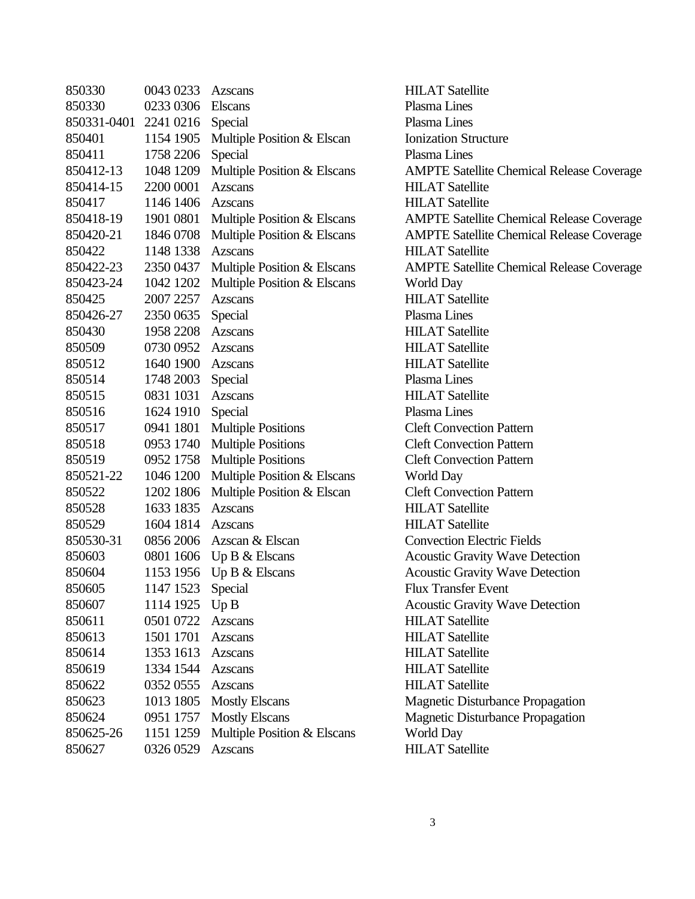| 850330      | 0043 0233 | Azscans                     |
|-------------|-----------|-----------------------------|
| 850330      | 0233 0306 | <b>Elscans</b>              |
| 850331-0401 | 2241 0216 | Special                     |
| 850401      | 1154 1905 | Multiple Position & Elscan  |
| 850411      | 1758 2206 | Special                     |
| 850412-13   | 1048 1209 | Multiple Position & Elscans |
| 850414-15   | 2200 0001 | <b>Azscans</b>              |
| 850417      | 1146 1406 | <b>Azscans</b>              |
| 850418-19   | 1901 0801 | Multiple Position & Elscans |
| 850420-21   | 1846 0708 | Multiple Position & Elscans |
| 850422      | 1148 1338 | <b>Azscans</b>              |
| 850422-23   | 2350 0437 | Multiple Position & Elscans |
| 850423-24   | 1042 1202 | Multiple Position & Elscans |
| 850425      | 2007 2257 | <b>Azscans</b>              |
| 850426-27   | 2350 0635 | Special                     |
| 850430      | 1958 2208 | <b>Azscans</b>              |
| 850509      | 0730 0952 | <b>Azscans</b>              |
| 850512      | 1640 1900 | Azscans                     |
| 850514      | 1748 2003 | Special                     |
| 850515      | 0831 1031 | <b>Azscans</b>              |
| 850516      | 1624 1910 | Special                     |
| 850517      | 0941 1801 | <b>Multiple Positions</b>   |
| 850518      | 0953 1740 | <b>Multiple Positions</b>   |
| 850519      | 0952 1758 | <b>Multiple Positions</b>   |
| 850521-22   | 1046 1200 | Multiple Position & Elscans |
| 850522      | 1202 1806 | Multiple Position & Elscan  |
| 850528      | 1633 1835 | <b>Azscans</b>              |
| 850529      | 1604 1814 | Azscans                     |
| 850530-31   | 0856 2006 | Azscan & Elscan             |
| 850603      | 0801 1606 | Up $B \&$ Elscans           |
| 850604      | 1153 1956 | Up B & Elscans              |
| 850605      | 1147 1523 | Special                     |
| 850607      | 1114 1925 | Up B                        |
| 850611      | 0501 0722 | <b>Azscans</b>              |
| 850613      | 1501 1701 | <b>Azscans</b>              |
| 850614      | 1353 1613 | <b>Azscans</b>              |
| 850619      | 1334 1544 | <b>Azscans</b>              |
| 850622      | 0352 0555 | <b>Azscans</b>              |
| 850623      | 1013 1805 | <b>Mostly Elscans</b>       |
| 850624      | 0951 1757 | <b>Mostly Elscans</b>       |
| 850625-26   | 1151 1259 | Multiple Position & Elscans |
| 850627      | 0326 0529 | <b>Azscans</b>              |

**HILAT Satellite** Plasma Lines Plasma Lines **Ionization Structure** Plasma Lines AMPTE Satellite Chemical Release Coverage HILAT Satellite **HILAT Satellite AMPTE Satellite Chemical Release Coverage** AMPTE Satellite Chemical Release Coverage **HILAT Satellite** AMPTE Satellite Chemical Release Coverage World Day **HILAT Satellite** Plasma Lines **HILAT Satellite HILAT Satellite HILAT Satellite** Plasma Lines **HILAT Satellite** Plasma Lines **Cleft Convection Pattern Cleft Convection Pattern Cleft Convection Pattern** World Day **Cleft Convection Pattern HILAT Satellite HILAT Satellite Convection Electric Fields** Acoustic Gravity Wave Detection Acoustic Gravity Wave Detection Flux Transfer Event Acoustic Gravity Wave Detection **HILAT Satellite HILAT Satellite HILAT Satellite HILAT Satellite HILAT Satellite** Magnetic Disturbance Propagation Magnetic Disturbance Propagation World Day **HILAT Satellite**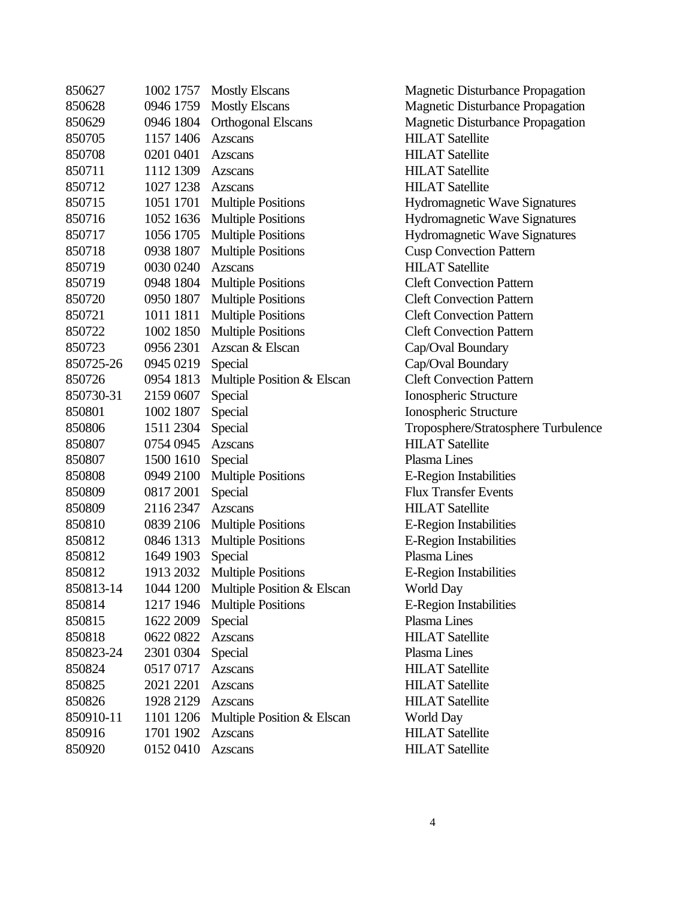| 850627    | 1002 1757 | <b>Mostly Elscans</b>      |
|-----------|-----------|----------------------------|
| 850628    | 0946 1759 | <b>Mostly Elscans</b>      |
| 850629    | 0946 1804 | <b>Orthogonal Elscans</b>  |
| 850705    | 1157 1406 | Azscans                    |
| 850708    | 0201 0401 | Azscans                    |
| 850711    | 1112 1309 | Azscans                    |
| 850712    | 1027 1238 | Azscans                    |
| 850715    | 1051 1701 | <b>Multiple Positions</b>  |
| 850716    | 1052 1636 | <b>Multiple Positions</b>  |
| 850717    | 1056 1705 | <b>Multiple Positions</b>  |
| 850718    | 0938 1807 | <b>Multiple Positions</b>  |
| 850719    | 0030 0240 | <b>Azscans</b>             |
| 850719    | 0948 1804 | <b>Multiple Positions</b>  |
| 850720    | 0950 1807 | <b>Multiple Positions</b>  |
| 850721    | 1011 1811 | <b>Multiple Positions</b>  |
| 850722    | 1002 1850 | <b>Multiple Positions</b>  |
| 850723    | 0956 2301 | Azscan & Elscan            |
| 850725-26 | 0945 0219 | Special                    |
| 850726    | 0954 1813 | Multiple Position & Elscan |
| 850730-31 | 2159 0607 | Special                    |
| 850801    | 1002 1807 | Special                    |
| 850806    | 1511 2304 | Special                    |
| 850807    | 0754 0945 | <b>Azscans</b>             |
| 850807    | 1500 1610 | Special                    |
| 850808    | 0949 2100 | <b>Multiple Positions</b>  |
| 850809    | 0817 2001 | Special                    |
| 850809    | 2116 2347 | Azscans                    |
| 850810    | 0839 2106 | <b>Multiple Positions</b>  |
| 850812    | 0846 1313 | <b>Multiple Positions</b>  |
| 850812    | 1649 1903 | Special                    |
| 850812    | 1913 2032 | <b>Multiple Positions</b>  |
| 850813-14 | 1044 1200 | Multiple Position & Elscan |
| 850814    | 1217 1946 | <b>Multiple Positions</b>  |
| 850815    | 1622 2009 | Special                    |
| 850818    | 0622 0822 | <b>Azscans</b>             |
| 850823-24 | 2301 0304 | Special                    |
| 850824    | 05170717  | <b>Azscans</b>             |
| 850825    | 2021 2201 | <b>Azscans</b>             |
| 850826    | 1928 2129 | <b>Azscans</b>             |
| 850910-11 | 1101 1206 | Multiple Position & Elscan |
| 850916    | 1701 1902 | <b>Azscans</b>             |
| 850920    | 01520410  | <b>Azscans</b>             |
|           |           |                            |

Magnetic Disturbance Propagation Magnetic Disturbance Propagation Magnetic Disturbance Propagation **HILAT Satellite HILAT Satellite HILAT Satellite HILAT Satellite** Hydromagnetic Wave Signatures Hydromagnetic Wave Signatures Hydromagnetic Wave Signatures **Cusp Convection Pattern HILAT Satellite Cleft Convection Pattern Cleft Convection Pattern Cleft Convection Pattern Cleft Convection Pattern** Cap/Oval Boundary Cap/Oval Boundary **Cleft Convection Pattern** Ionospheric Structure Ionospheric Structure Troposphere/Stratosphere Turbulence **HILAT Satellite** Plasma Lines **E-Region Instabilities Flux Transfer Events HILAT Satellite** E-Region Instabilities E-Region Instabilities Plasma Lines E-Region Instabilities World Day **E-Region Instabilities** Plasma Lines **HILAT Satellite** Plasma Lines **HILAT Satellite HILAT Satellite HILAT Satellite** World Day **HILAT Satellite HILAT Satellite**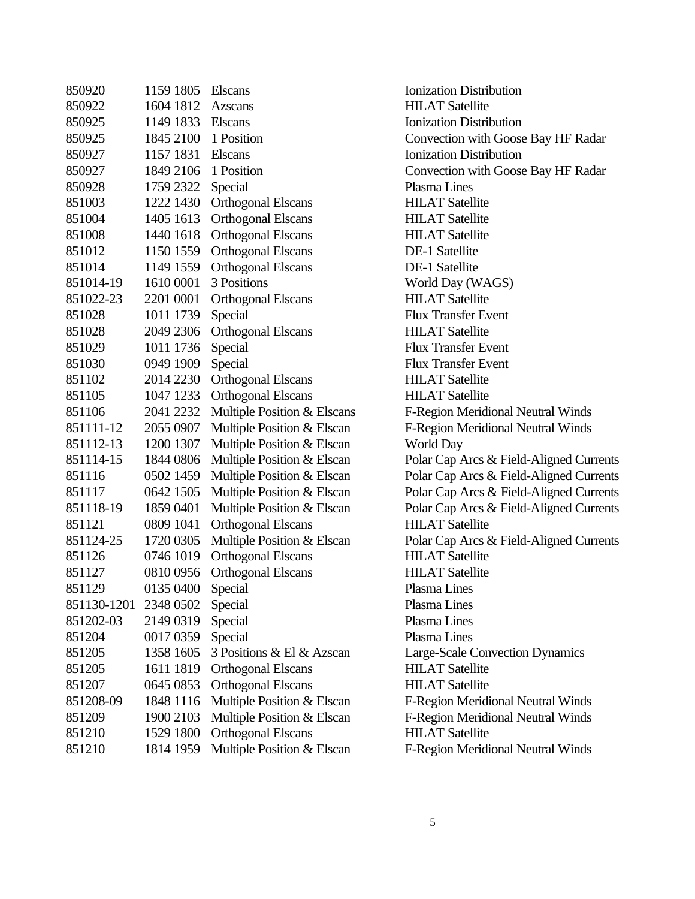| 850920      | 1159 1805 | <b>Elscans</b>             |
|-------------|-----------|----------------------------|
| 850922      | 1604 1812 | <b>Azscans</b>             |
| 850925      | 1149 1833 | <b>Elscans</b>             |
| 850925      | 1845 2100 | 1 Position                 |
| 850927      | 1157 1831 | <b>Elscans</b>             |
| 850927      | 1849 2106 | 1 Position                 |
| 850928      | 1759 2322 | Special                    |
| 851003      | 1222 1430 | <b>Orthogonal Elscans</b>  |
| 851004      | 1405 1613 | <b>Orthogonal Elscans</b>  |
| 851008      | 1440 1618 | <b>Orthogonal Elscans</b>  |
| 851012      | 1150 1559 | <b>Orthogonal Elscans</b>  |
| 851014      | 1149 1559 | <b>Orthogonal Elscans</b>  |
| 851014-19   | 1610 0001 | 3 Positions                |
| 851022-23   | 2201 0001 | <b>Orthogonal Elscans</b>  |
| 851028      | 1011 1739 | Special                    |
| 851028      | 2049 2306 | <b>Orthogonal Elscans</b>  |
| 851029      | 1011 1736 | Special                    |
| 851030      | 0949 1909 | Special                    |
| 851102      | 2014 2230 | <b>Orthogonal Elscans</b>  |
| 851105      | 1047 1233 | <b>Orthogonal Elscans</b>  |
| 851106      | 2041 2232 | Multiple Position & Elscan |
| 851111-12   | 2055 0907 | Multiple Position & Elscan |
| 851112-13   | 1200 1307 | Multiple Position & Elscan |
| 851114-15   | 1844 0806 | Multiple Position & Elscan |
| 851116      | 0502 1459 | Multiple Position & Elscan |
| 851117      | 0642 1505 | Multiple Position & Elscan |
| 851118-19   | 1859 0401 | Multiple Position & Elscan |
| 851121      | 0809 1041 | <b>Orthogonal Elscans</b>  |
| 851124-25   | 1720 0305 | Multiple Position & Elscan |
| 851126      | 0746 1019 | <b>Orthogonal Elscans</b>  |
| 851127      | 0810 0956 | <b>Orthogonal Elscans</b>  |
| 851129      | 0135 0400 | Special                    |
| 851130-1201 | 2348 0502 | Special                    |
| 851202-03   | 2149 0319 | Special                    |
| 851204      | 0017 0359 | Special                    |
| 851205      | 1358 1605 | 3 Positions & El & Azscan  |
| 851205      | 1611 1819 | <b>Orthogonal Elscans</b>  |
| 851207      | 0645 0853 | <b>Orthogonal Elscans</b>  |
| 851208-09   | 1848 1116 | Multiple Position & Elscan |
| 851209      | 1900 2103 | Multiple Position & Elscan |
| 851210      | 1529 1800 | <b>Orthogonal Elscans</b>  |
| 851210      | 1814 1959 | Multiple Position & Elscan |
|             |           |                            |

**Ionization Distribution HILAT Satellite Ionization Distribution** Convection with Goose Bay HF Radar **Ionization Distribution** Convection with Goose Bay HF Radar Plasma Lines **HILAT Satellite HILAT Satellite HILAT Satellite** DE-1 Satellite **DE-1 Satellite** World Day (WAGS) HILAT Satellite **Flux Transfer Event HILAT Satellite Flux Transfer Event Flux Transfer Event HILAT Satellite HILAT Satellite** 18 **1111** E-Region Meridional Neutral Winds 1 **1111-12 1111-12 2051 F-Region Meridional Neutral Winds** 1 1211 World Day 1 Polar Cap Arcs & Field-Aligned Currents 1 Polar Cap Arcs & Field-Aligned Currents 1 Polar Cap Arcs & Field-Aligned Currents 1 Polar Cap Arcs & Field-Aligned Currents **HILAT Satellite** 1 Polar Cap Arcs & Field-Aligned Currents **HILAT Satellite HILAT Satellite** Plasma Lines Plasma Lines Plasma Lines Plasma Lines Large-Scale Convection Dynamics **HILAT Satellite HILAT Satellite** 851208-09 1848 1116 Multiple Position & Elscan F-Region Meridional Neutral Winds 851209 1900 2103 Multiple Position & Elscan F-Region Meridional Neutral Winds **HILAT Satellite** 851210 1814 1959 Multiple Position & Elscan F-Region Meridional Neutral Winds